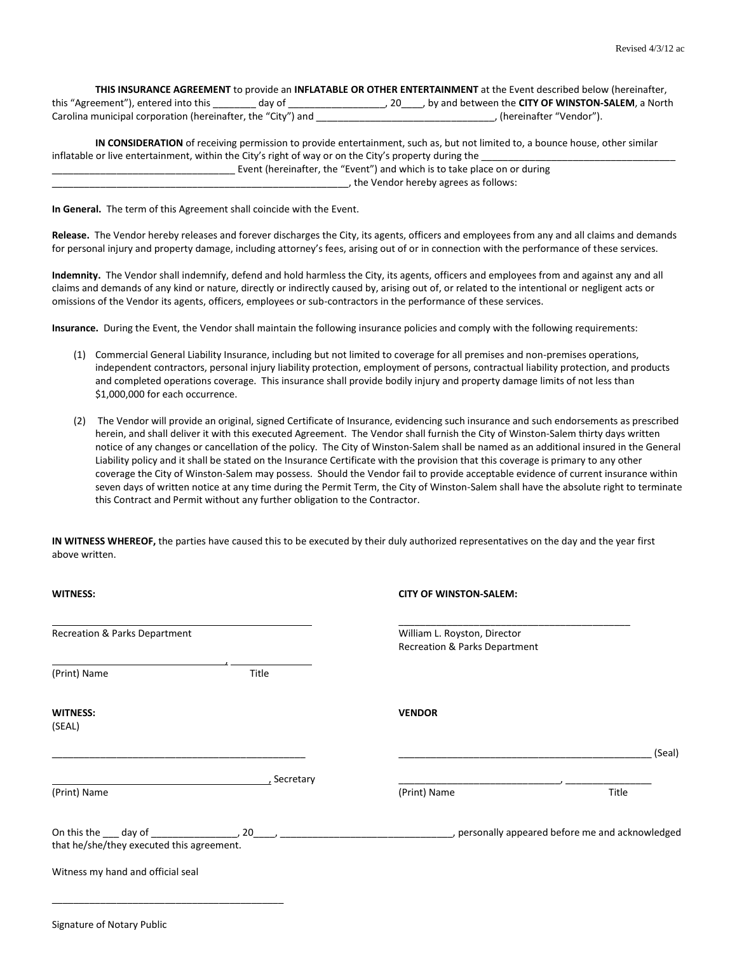| THIS INSURANCE AGREEMENT to provide an INFLATABLE OR OTHER ENTERTAINMENT at the Event described below (hereinafter, |                                                     |  |  |
|---------------------------------------------------------------------------------------------------------------------|-----------------------------------------------------|--|--|
| this "Agreement"), entered into this<br>day of                                                                      | , by and between the CITY OF WINSTON-SALEM, a North |  |  |
| Carolina municipal corporation (hereinafter, the "City") and                                                        | . (hereinafter "Vendor").                           |  |  |

**IN CONSIDERATION** of receiving permission to provide entertainment, such as, but not limited to, a bounce house, other similar inflatable or live entertainment, within the City's right of way or on the City's property during the Event (hereinafter, the "Event") and which is to take place on or during \_\_\_\_\_\_\_\_\_\_\_\_\_\_\_\_\_\_\_\_\_\_\_\_\_\_\_\_\_\_\_\_\_\_\_\_\_\_\_\_\_\_\_\_\_\_\_\_\_\_\_\_\_\_\_, the Vendor hereby agrees as follows:

**In General.** The term of this Agreement shall coincide with the Event.

Signature of Notary Public

**Release.** The Vendor hereby releases and forever discharges the City, its agents, officers and employees from any and all claims and demands for personal injury and property damage, including attorney's fees, arising out of or in connection with the performance of these services.

**Indemnity.** The Vendor shall indemnify, defend and hold harmless the City, its agents, officers and employees from and against any and all claims and demands of any kind or nature, directly or indirectly caused by, arising out of, or related to the intentional or negligent acts or omissions of the Vendor its agents, officers, employees or sub-contractors in the performance of these services.

**Insurance.** During the Event, the Vendor shall maintain the following insurance policies and comply with the following requirements:

- (1) Commercial General Liability Insurance, including but not limited to coverage for all premises and non-premises operations, independent contractors, personal injury liability protection, employment of persons, contractual liability protection, and products and completed operations coverage. This insurance shall provide bodily injury and property damage limits of not less than \$1,000,000 for each occurrence.
- (2) The Vendor will provide an original, signed Certificate of Insurance, evidencing such insurance and such endorsements as prescribed herein, and shall deliver it with this executed Agreement. The Vendor shall furnish the City of Winston-Salem thirty days written notice of any changes or cancellation of the policy. The City of Winston-Salem shall be named as an additional insured in the General Liability policy and it shall be stated on the Insurance Certificate with the provision that this coverage is primary to any other coverage the City of Winston-Salem may possess. Should the Vendor fail to provide acceptable evidence of current insurance within seven days of written notice at any time during the Permit Term, the City of Winston-Salem shall have the absolute right to terminate this Contract and Permit without any further obligation to the Contractor.

**IN WITNESS WHEREOF,** the parties have caused this to be executed by their duly authorized representatives on the day and the year first above written.

| <b>WITNESS:</b>                                 |             | <b>CITY OF WINSTON-SALEM:</b>                                 |        |
|-------------------------------------------------|-------------|---------------------------------------------------------------|--------|
| Recreation & Parks Department                   |             | William L. Royston, Director<br>Recreation & Parks Department |        |
| (Print) Name                                    | Title       |                                                               |        |
| <b>WITNESS:</b><br>(SEAL)                       |             | <b>VENDOR</b>                                                 |        |
|                                                 |             |                                                               | (Seal) |
| <u> 1989 - Johann Barn, amerikan personal (</u> | , Secretary |                                                               |        |
| (Print) Name                                    |             | (Print) Name                                                  | Title  |
| that he/she/they executed this agreement.       |             |                                                               |        |
| Witness my hand and official seal               |             |                                                               |        |
|                                                 |             |                                                               |        |